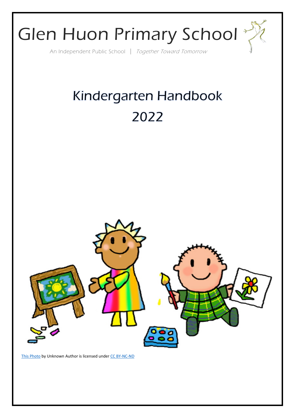

# Kindergarten Handbook 2022



[This Photo](http://amrutam-nopen.blogspot.com/2012/07/how-my-school-made-me-what-i-am.html) by Unknown Author is licensed under [CC BY-NC-ND](https://creativecommons.org/licenses/by-nc-nd/3.0/)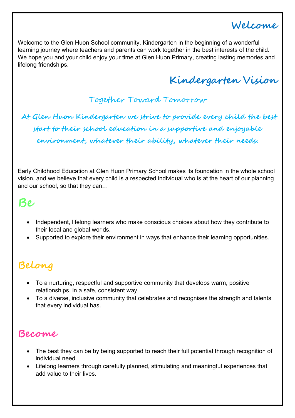## **Welcome**

Welcome to the Glen Huon School community. Kindergarten in the beginning of a wonderful learning journey where teachers and parents can work together in the best interests of the child. We hope you and your child enjoy your time at Glen Huon Primary, creating lasting memories and lifelong friendships.

**Kindergarten Vision**

#### Together Toward Tomorrow

**At Glen Huon Kindergarten we strive to provide every child the best start to their school education in a supportive and enjoyable environment, whatever their ability, whatever their needs.**

Early Childhood Education at Glen Huon Primary School makes its foundation in the whole school vision, and we believe that every child is a respected individual who is at the heart of our planning and our school, so that they can…

### **Be**

- Independent, lifelong learners who make conscious choices about how they contribute to their local and global worlds.
- Supported to explore their environment in ways that enhance their learning opportunities.

## **Belong**

- To a nurturing, respectful and supportive community that develops warm, positive relationships, in a safe, consistent way.
- To a diverse, inclusive community that celebrates and recognises the strength and talents that every individual has.

### **Become**

- The best they can be by being supported to reach their full potential through recognition of individual need.
- Lifelong learners through carefully planned, stimulating and meaningful experiences that add value to their lives.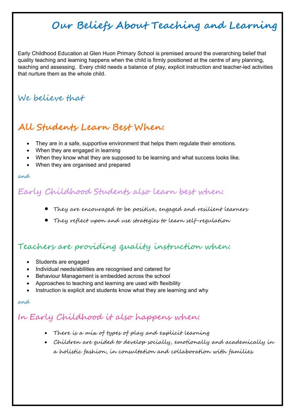## **Our Beliefs About Teaching and Learning**

Early Childhood Education at Glen Huon Primary School is premised around the overarching belief that quality teaching and learning happens when the child is firmly positioned at the centre of any planning, teaching and assessing. Every child needs a balance of play, explicit instruction and teacher-led activities that nurture them as the whole child.

### We believe that

### **All Students Learn Best When:**

- They are in a safe, supportive environment that helps them regulate their emotions.
- When they are engaged in learning
- When they know what they are supposed to be learning and what success looks like.
- When they are organised and prepared

#### and

#### Early Childhood Students also learn best when:

- They are encouraged to be positive, engaged and resilient learners
- They reflect upon and use strategies to learn self-regulation

### Teachers are providing quality instruction when:

- Students are engaged
- Individual needs/abilities are recognised and catered for
- Behaviour Management is embedded across the school
- Approaches to teaching and learning are used with flexibility
- Instruction is explicit and students know what they are learning and why

and

#### In Early Childhood it also happens when:

- There is a mix of types of play and explicit learning
- Children are guided to develop socially, emotionally and academically in a holistic fashion, in consultation and collaboration with families.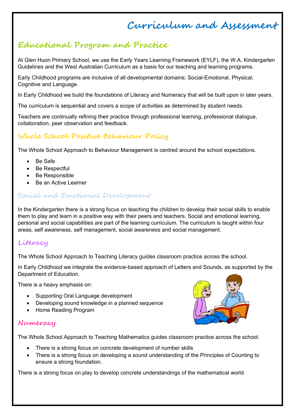## **Curriculum and Assessment**

## **Educational Program and Practice**

At Glen Huon Primary School, we use the Early Years Learning Framework (EYLF), the W.A. Kindergarten Guidelines and the West Australian Curriculum as a basis for our teaching and learning programs.

Early Childhood programs are inclusive of all developmental domains: Social-Emotional, Physical, Cognitive and Language.

In Early Childhood we build the foundations of Literacy and Numeracy that will be built upon in later years.

The curriculum is sequential and covers a scope of activities as determined by student needs.

Teachers are continually refining their practice through professional learning, professional dialogue, collaboration, peer observation and feedback.

#### **Whole School Positive Behaviour Policy**

The Whole School Approach to Behaviour Management is centred around the school expectations.

- Be Safe
- Be Respectful
- Be Responsible
- Be an Active Learner

#### **Social and Emotional Development**

In the Kindergarten there is a strong focus on teaching the children to develop their social skills to enable them to play and learn in a positive way with their peers and teachers. Social and emotional learning, personal and social capabilities are part of the learning curriculum. The curriculum is taught within four areas, self awareness, self management, social awareness and social management.

#### **Literacy**

The Whole School Approach to Teaching Literacy guides classroom practice across the school.

In Early Childhood we integrate the evidence-based approach of Letters and Sounds, as supported by the Department of Education.

There is a heavy emphasis on:

- Supporting Oral Language development
- Developing sound knowledge in a planned sequence
- Home Reading Program

#### **Numeracy**

The Whole School Approach to Teaching Mathematics guides classroom practice across the school.

- There is a strong focus on concrete development of number skills
- There is a strong focus on developing a sound understanding of the Principles of Counting to ensure a strong foundation.

There is a strong focus on play to develop concrete understandings of the mathematical world.

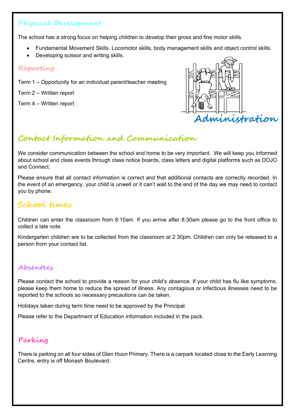#### **Physical Development**

The school has a strong focus on helping children to develop their gross and fine motor skills.

- Fundamental Movement Skills. Locomotor skills, body management skills and object control skills.
- Developing scissor and writing skills.

#### **Reporting**

Term 1 – Opportunity for an individual parent/teacher meeting

Term 2 – Written report

Term 4 – Written report



### **Contact Information and Communication**

We consider communication between the school and home to be very important. We will keep you informed about school and class events through class notice boards, class letters and digital platforms such as DOJO and Connect.

Please ensure that all contact information is correct and that additional contacts are correctly recorded. In the event of an emergency, your child is unwell or it can't wait to the end of the day we may need to contact you by phone.

### **School times**

Children can enter the classroom from 8:10am. If you arrive after 8:30am please go to the front office to collect a late note.

Kindergarten children are to be collected from the classroom at 2:30pm. Children can only be released to a person from your contact list.

#### **Absentees**

Please contact the school to provide a reason for your child's absence. If your child has flu like symptoms, please keep them home to reduce the spread of illness. Any contagious or infectious illnesses need to be reported to the schools so necessary precautions can be taken.

Holidays taken during term time need to be approved by the Principal.

Please refer to the Department of Education information included in the pack.

#### **Parking**

There is parking on all four sides of Glen Huon Primary. There is a carpark located close to the Early Learning Centre, entry is off Monash Boulevard.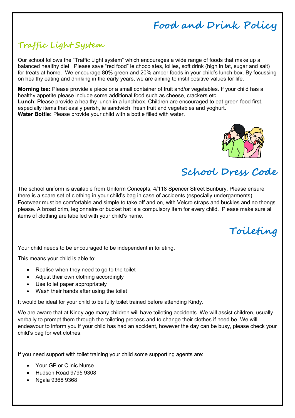## **Food and Drink Policy**

### **Traffic Light System**

Our school follows the "Traffic Light system" which encourages a wide range of foods that make up a balanced healthy diet. Please save "red food" ie chocolates, lollies, soft drink (high in fat, sugar and salt) for treats at home. We encourage 80% green and 20% amber foods in your child's lunch box. By focussing on healthy eating and drinking in the early years, we are aiming to instil positive values for life.

**Morning tea:** Please provide a piece or a small container of fruit and/or vegetables. If your child has a healthy appetite please include some additional food such as cheese, crackers etc. **Lunch**: Please provide a healthy lunch in a lunchbox. Children are encouraged to eat green food first, especially items that easily perish, ie sandwich, fresh fruit and vegetables and yoghurt. **Water Bottle:** Please provide your child with a bottle filled with water.



### **School Dress Code**

The school uniform is available from Uniform Concepts, 4/118 Spencer Street Bunbury. Please ensure there is a spare set of clothing in your child's bag in case of accidents (especially undergarments). Footwear must be comfortable and simple to take off and on, with Velcro straps and buckles and no thongs please. A broad brim, legionnaire or bucket hat is a compulsory item for every child. Please make sure all items of clothing are labelled with your child's name.

## **Toileting**

Your child needs to be encouraged to be independent in toileting.

This means your child is able to:

- Realise when they need to go to the toilet
- Adjust their own clothing accordingly
- Use toilet paper appropriately
- Wash their hands after using the toilet

It would be ideal for your child to be fully toilet trained before attending Kindy.

We are aware that at Kindy age many children will have toileting accidents. We will assist children, usually verbally to prompt them through the toileting process and to change their clothes if need be. We will endeavour to inform you if your child has had an accident, however the day can be busy, please check your child's bag for wet clothes.

If you need support with toilet training your child some supporting agents are:

- Your GP or Clinic Nurse
- Hudson Road 9795 9308
- Ngala 9368 9368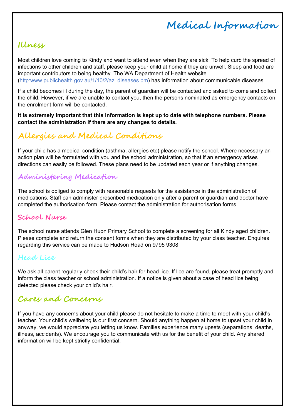## **Medical Information**

### **Illness**

Most children love coming to Kindy and want to attend even when they are sick. To help curb the spread of infections to other children and staff, please keep your child at home if they are unwell. Sleep and food are important contributors to being healthy. The WA Department of Health website (http:www.publichealth.gov.au/1/10/2/az\_diseases.pm) has information about communicable diseases.

If a child becomes ill during the day, the parent of guardian will be contacted and asked to come and collect the child. However, if we are unable to contact you, then the persons nominated as emergency contacts on the enrolment form will be contacted.

**It is extremely important that this information is kept up to date with telephone numbers. Please contact the administration if there are any changes to details.**

### **Allergies and Medical Conditions**

If your child has a medical condition (asthma, allergies etc) please notify the school. Where necessary an action plan will be formulated with you and the school administration, so that if an emergency arises directions can easily be followed. These plans need to be updated each year or if anything changes.

#### **Administering Medication**

The school is obliged to comply with reasonable requests for the assistance in the administration of medications. Staff can administer prescribed medication only after a parent or guardian and doctor have completed the authorisation form. Please contact the administration for authorisation forms.

#### **School Nurse**

The school nurse attends Glen Huon Primary School to complete a screening for all Kindy aged children. Please complete and return the consent forms when they are distributed by your class teacher. Enquires regarding this service can be made to Hudson Road on 9795 9308.

#### **Head Lice**

We ask all parent regularly check their child's hair for head lice. If lice are found, please treat promptly and inform the class teacher or school administration. If a notice is given about a case of head lice being detected please check your child's hair.

### **Cares and Concerns**

If you have any concerns about your child please do not hesitate to make a time to meet with your child's teacher. Your child's wellbeing is our first concern. Should anything happen at home to upset your child in anyway, we would appreciate you letting us know. Families experience many upsets (separations, deaths, illness, accidents). We encourage you to communicate with us for the benefit of your child. Any shared information will be kept strictly confidential.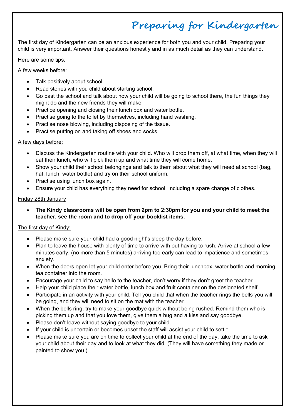## **Preparing for Kindergarten**

The first day of Kindergarten can be an anxious experience for both you and your child. Preparing your child is very important. Answer their questions honestly and in as much detail as they can understand.

Here are some tips:

#### A few weeks before:

- Talk positively about school.
- Read stories with you child about starting school.
- Go past the school and talk about how your child will be going to school there, the fun things they might do and the new friends they will make.
- Practice opening and closing their lunch box and water bottle.
- Practise going to the toilet by themselves, including hand washing.
- Practise nose blowing, including disposing of the tissue.
- Practise putting on and taking off shoes and socks.

#### A few days before:

- Discuss the Kindergarten routine with your child. Who will drop them off, at what time, when they will eat their lunch, who will pick them up and what time they will come home.
- Show your child their school belongings and talk to them about what they will need at school (bag, hat, lunch, water bottle) and try on their school uniform.
- Practise using lunch box again.
- Ensure your child has everything they need for school. Including a spare change of clothes.

#### Friday 28th January

• **The Kindy classrooms will be open from 2pm to 2:30pm for you and your child to meet the teacher, see the room and to drop off your booklist items.**

#### The first day of Kindy:

- Please make sure your child had a good night's sleep the day before.
- Plan to leave the house with plenty of time to arrive with out having to rush. Arrive at school a few minutes early, (no more than 5 minutes) arriving too early can lead to impatience and sometimes anxiety.
- When the doors open let your child enter before you. Bring their lunchbox, water bottle and morning tea container into the room.
- Encourage your child to say hello to the teacher, don't worry if they don't greet the teacher.
- Help your child place their water bottle, lunch box and fruit container on the designated shelf.
- Participate in an activity with your child. Tell you child that when the teacher rings the bells you will be going, and they will need to sit on the mat with the teacher.
- When the bells ring, try to make your goodbye quick without being rushed. Remind them who is picking them up and that you love them, give them a hug and a kiss and say goodbye.
- Please don't leave without saying goodbye to your child.
- If your child is uncertain or becomes upset the staff will assist your child to settle.
- Please make sure you are on time to collect your child at the end of the day, take the time to ask your child about their day and to look at what they did. (They will have something they made or painted to show you.)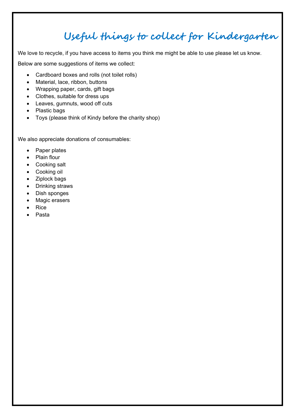## **Useful things to collect for Kindergarten**

We love to recycle, if you have access to items you think me might be able to use please let us know.

Below are some suggestions of items we collect:

- Cardboard boxes and rolls (not toilet rolls)
- Material, lace, ribbon, buttons
- Wrapping paper, cards, gift bags
- Clothes, suitable for dress ups
- Leaves, gumnuts, wood off cuts
- Plastic bags
- Toys (please think of Kindy before the charity shop)

We also appreciate donations of consumables:

- Paper plates
- Plain flour
- Cooking salt
- Cooking oil
- Ziplock bags
- Drinking straws
- Dish sponges
- Magic erasers
- Rice
- Pasta